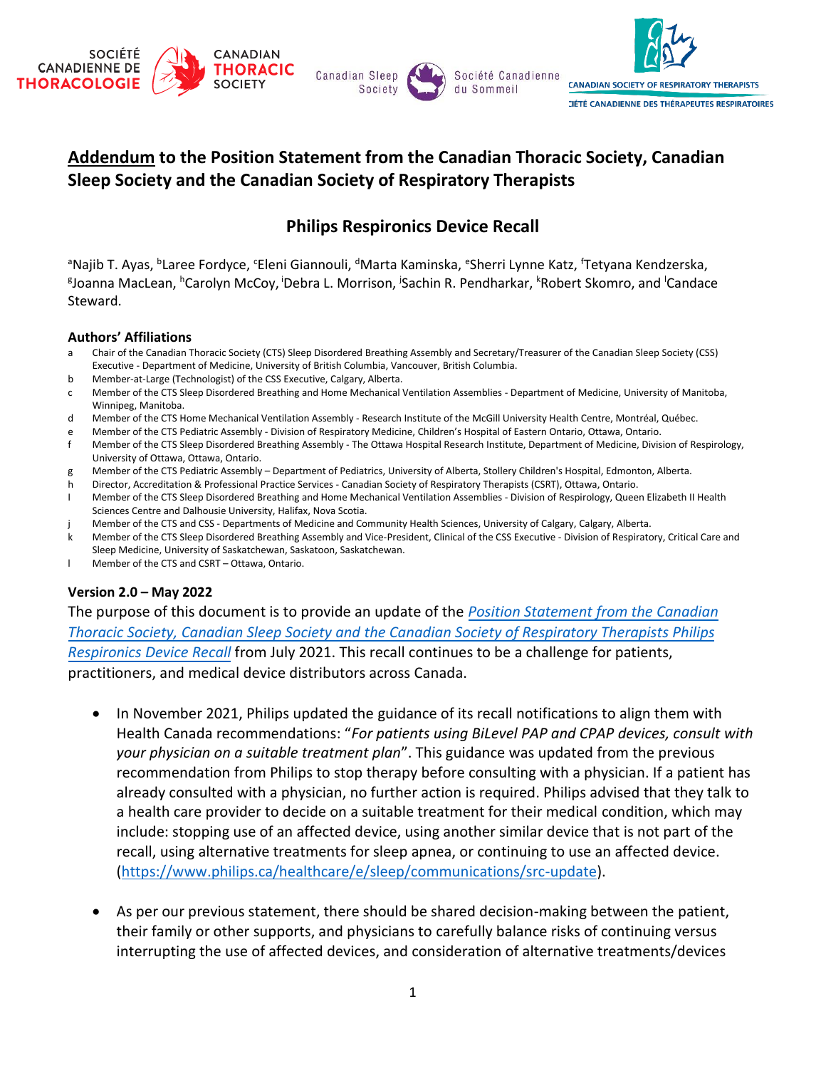

## **Addendum to the Position Statement from the Canadian Thoracic Society, Canadian Sleep Society and the Canadian Society of Respiratory Therapists**

## **Philips Respironics Device Recall**

<sup>a</sup>Najib T. Ayas, <sup>b</sup>Laree Fordyce, <sup>c</sup>Eleni Giannouli, <sup>d</sup>Marta Kaminska, <sup>e</sup>Sherri Lynne Katz, <sup>f</sup>Tetyana Kendzerska, g Joanna MacLean, <sup>h</sup>Carolyn McCoy, <sup>i</sup>Debra L. Morrison, <sup>j</sup> Sachin R. Pendharkar, <sup>k</sup>Robert Skomro, and <sup>l</sup>Candace Steward.

## **Authors' Affiliations**

- a Chair of the Canadian Thoracic Society (CTS) Sleep Disordered Breathing Assembly and Secretary/Treasurer of the Canadian Sleep Society (CSS) Executive - Department of Medicine, University of British Columbia, Vancouver, British Columbia.
- b Member-at-Large (Technologist) of the CSS Executive, Calgary, Alberta.
- c Member of the CTS Sleep Disordered Breathing and Home Mechanical Ventilation Assemblies Department of Medicine, University of Manitoba, Winnipeg, Manitoba.
- d Member of the CTS Home Mechanical Ventilation Assembly Research Institute of the McGill University Health Centre, Montréal, Québec.
- e Member of the CTS Pediatric Assembly Division of Respiratory Medicine, Children's Hospital of Eastern Ontario, Ottawa, Ontario.
- f Member of the CTS Sleep Disordered Breathing Assembly The Ottawa Hospital Research Institute, Department of Medicine, Division of Respirology, University of Ottawa, Ottawa, Ontario.
- g Member of the CTS Pediatric Assembly Department of Pediatrics, University of Alberta, Stollery Children's Hospital, Edmonton, Alberta.
- Director, Accreditation & Professional Practice Services Canadian Society of Respiratory Therapists (CSRT), Ottawa, Ontario.
- I Member of the CTS Sleep Disordered Breathing and Home Mechanical Ventilation Assemblies Division of Respirology, Queen Elizabeth II Health Sciences Centre and Dalhousie University, Halifax, Nova Scotia.
- Member of the CTS and CSS Departments of Medicine and Community Health Sciences, University of Calgary, Calgary, Alberta.
- k Member of the CTS Sleep Disordered Breathing Assembly and Vice-President, Clinical of the CSS Executive Division of Respiratory, Critical Care and Sleep Medicine, University of Saskatchewan, Saskatoon, Saskatchewan.
- l Member of the CTS and CSRT Ottawa, Ontario.

## **Version 2.0 – May 2022**

The purpose of this document is to provide an update of the *[Position Statement from the Canadian](https://cts-sct.ca/guideline-library/) [Thoracic Society, Canadian Sleep Society and the Canadian Society of Respiratory Therapists Philips](https://cts-sct.ca/guideline-library/)  [Respironics Device Recall](https://cts-sct.ca/guideline-library/)* from July 2021. This recall continues to be a challenge for patients, practitioners, and medical device distributors across Canada.

- In November 2021, Philips updated the guidance of its recall notifications to align them with Health Canada recommendations: "*For patients using BiLevel PAP and CPAP devices, consult with your physician on a suitable treatment plan*". This guidance was updated from the previous recommendation from Philips to stop therapy before consulting with a physician. If a patient has already consulted with a physician, no further action is required. Philips advised that they talk to a health care provider to decide on a suitable treatment for their medical condition, which may include: stopping use of an affected device, using another similar device that is not part of the recall, using alternative treatments for sleep apnea, or continuing to use an affected device. [\(https://www.philips.ca/healthcare/e/sleep/communications/src-update\)](https://www.philips.ca/healthcare/e/sleep/communications/src-update).
- As per our previous statement, there should be shared decision-making between the patient, their family or other supports, and physicians to carefully balance risks of continuing versus interrupting the use of affected devices, and consideration of alternative treatments/devices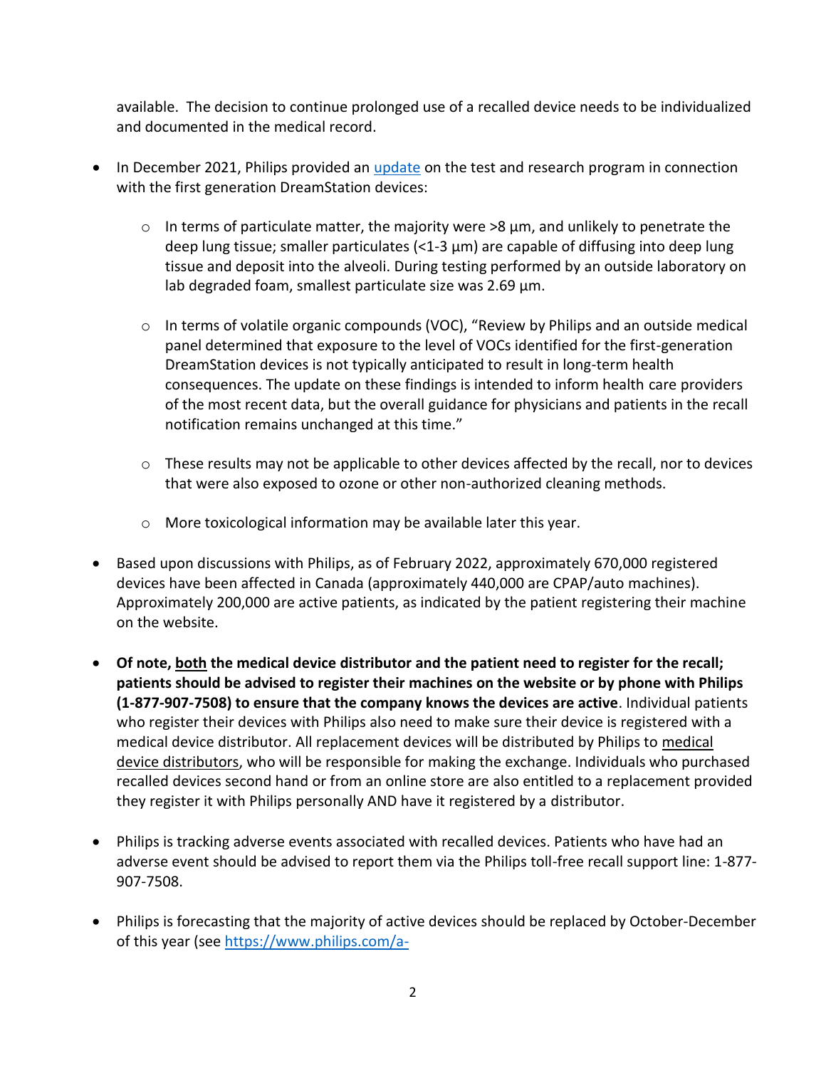available. The decision to continue prolonged use of a recalled device needs to be individualized and documented in the medical record.

- In December 2021, Philips provided an *update* on the test and research program in connection with the first generation DreamStation devices:
	- $\circ$  In terms of particulate matter, the majority were  $>8$  µm, and unlikely to penetrate the deep lung tissue; smaller particulates (<1-3 μm) are capable of diffusing into deep lung tissue and deposit into the alveoli. During testing performed by an outside laboratory on lab degraded foam, smallest particulate size was 2.69 μm.
	- o In terms of volatile organic compounds (VOC), "Review by Philips and an outside medical panel determined that exposure to the level of VOCs identified for the first-generation DreamStation devices is not typically anticipated to result in long-term health consequences. The update on these findings is intended to inform health care providers of the most recent data, but the overall guidance for physicians and patients in the recall notification remains unchanged at this time."
	- o These results may not be applicable to other devices affected by the recall, nor to devices that were also exposed to ozone or other non-authorized cleaning methods.
	- o More toxicological information may be available later this year.
- Based upon discussions with Philips, as of February 2022, approximately 670,000 registered devices have been affected in Canada (approximately 440,000 are CPAP/auto machines). Approximately 200,000 are active patients, as indicated by the patient registering their machine on the website.
- **Of note, both the medical device distributor and the patient need to register for the recall; patients should be advised to register their machines on the website or by phone with Philips (1-877-907-7508) to ensure that the company knows the devices are active**. Individual patients who register their devices with Philips also need to make sure their device is registered with a medical device distributor. All replacement devices will be distributed by Philips to medical device distributors, who will be responsible for making the exchange. Individuals who purchased recalled devices second hand or from an online store are also entitled to a replacement provided they register it with Philips personally AND have it registered by a distributor.
- Philips is tracking adverse events associated with recalled devices. Patients who have had an adverse event should be advised to report them via the Philips toll-free recall support line: 1-877- 907-7508.
- Philips is forecasting that the majority of active devices should be replaced by October-December of this year (see [https://www.philips.com/a-](https://www.philips.com/a-w/about/news/archive/corpcomms/news/press/2022/philips-fourth-quarter-results-2021.html)